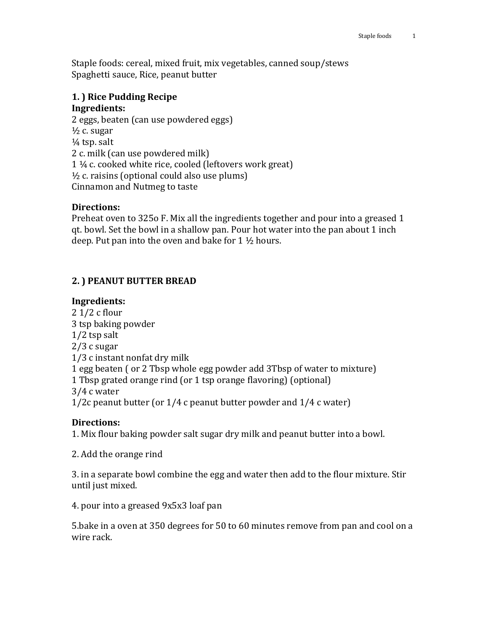Staple foods: cereal, mixed fruit, mix vegetables, canned soup/stews Spaghetti sauce, Rice, peanut butter

## **1. ) Rice Pudding Recipe Ingredients:**

2 eggs, beaten (can use powdered eggs)  $\frac{1}{2}$  c. sugar  $\frac{1}{4}$  tsp. salt 2 c. milk (can use powdered milk) 1 ¼ c. cooked white rice, cooled (leftovers work great)  $\frac{1}{2}$  c. raisins (optional could also use plums) Cinnamon and Nutmeg to taste

## **Directions:**

Preheat oven to 325o F. Mix all the ingredients together and pour into a greased 1 qt. bowl. Set the bowl in a shallow pan. Pour hot water into the pan about 1 inch deep. Put pan into the oven and bake for 1 ½ hours.

# **2. ) PEANUT BUTTER BREAD**

## **Ingredients:**

2 1/2 c flour 3 tsp baking powder 1/2 tsp salt 2/3 c sugar 1/3 c instant nonfat dry milk 1 egg beaten ( or 2 Tbsp whole egg powder add 3Tbsp of water to mixture) 1 Tbsp grated orange rind (or 1 tsp orange flavoring) (optional) 3/4 c water 1/2c peanut butter (or 1/4 c peanut butter powder and 1/4 c water)

#### **Directions:**

1. Mix flour baking powder salt sugar dry milk and peanut butter into a bowl.

2. Add the orange rind

3. in a separate bowl combine the egg and water then add to the flour mixture. Stir until just mixed.

4. pour into a greased 9x5x3 loaf pan

5.bake in a oven at 350 degrees for 50 to 60 minutes remove from pan and cool on a wire rack.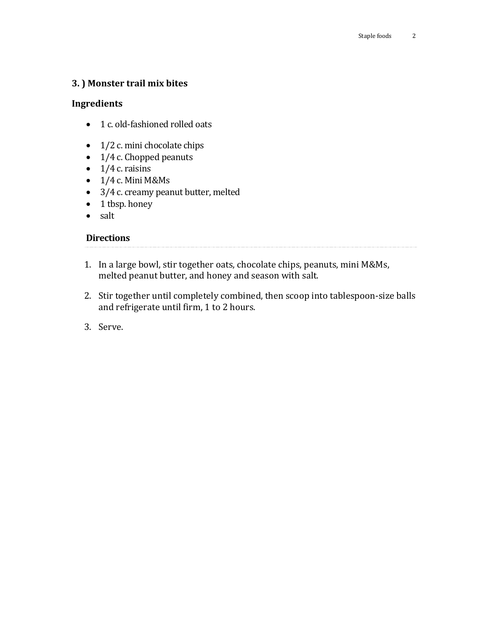## **3. ) Monster trail mix bites**

## **Ingredients**

- 1 c. old-fashioned rolled oats
- $\bullet$  1/2 c. mini chocolate chips
- 1/4 c. Chopped peanuts
- $\bullet$  1/4 c. raisins
- $\bullet$  1/4 c. Mini M&Ms
- 3/4 c. creamy peanut butter, melted
- 1 tbsp. honey
- salt

## **Directions**

- 1. In a large bowl, stir together oats, chocolate chips, peanuts, mini M&Ms, melted peanut butter, and honey and season with salt.
- 2. Stir together until completely combined, then scoop into tablespoon-size balls and refrigerate until firm, 1 to 2 hours.
- 3. Serve.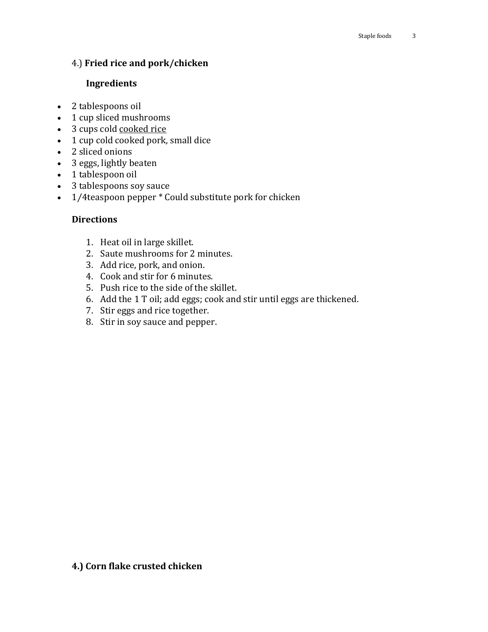## 4.) **Fried rice and pork/chicken**

#### **Ingredients**

- 2 tablespoons oil
- 1 cup sliced mushrooms
- 3 cups cold cooked rice
- 1 cup cold cooked [pork,](http://www.geniuskitchen.com/about/pork-282) small dice
- 2 sliced onions
- 3 [eggs,](http://www.geniuskitchen.com/about/egg-142) lightly beaten
- 1 tablespoon oil
- 3 tablespoons [soy sauce](http://www.geniuskitchen.com/about/soy-sauce-473)
- 1/4teaspoon [pepper](http://www.geniuskitchen.com/about/pepper-337) \* Could substitute pork for chicken

#### **Directions**

- 1. Heat oil in large skillet.
- 2. Saute mushrooms for 2 minutes.
- 3. Add rice, pork, and onion.
- 4. Cook and stir for 6 minutes.
- 5. Push rice to the side of the skillet.
- 6. Add the 1 T oil; add eggs; cook and stir until eggs are thickened.
- 7. Stir eggs and rice together.
- 8. Stir in soy sauce and pepper.

# **4.) Corn flake crusted chicken**